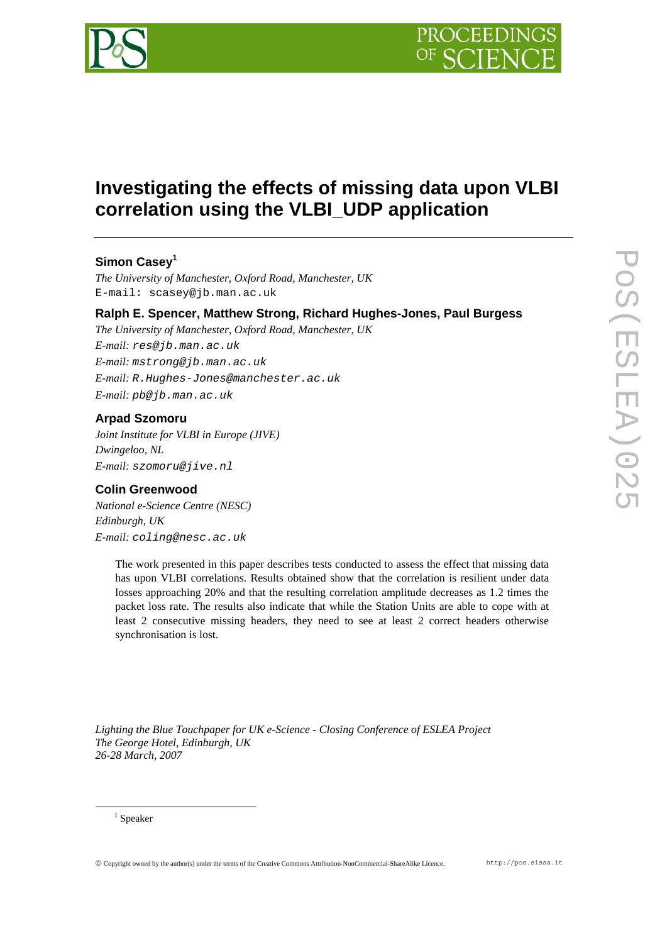

# **Investigating the effects of missing data upon VLBI correlation using the VLBI\_UDP application**

# **Simon Casey1**

*The University of Manchester, Oxford Road, Manchester, UK*  E-mail: scasey@jb.man.ac.uk

## **Ralph E. Spencer, Matthew Strong, Richard Hughes-Jones, Paul Burgess**

*The University of Manchester, Oxford Road, Manchester, UK E-mail: res@jb.man.ac.uk E-mail: mstrong@jb.man.ac.uk E-mail: R.Hughes-Jones@manchester.ac.uk E-mail: pb@jb.man.ac.uk* 

## **Arpad Szomoru**

*Joint Institute for VLBI in Europe (JIVE) Dwingeloo, NL E-mail: szomoru@jive.nl* 

## **Colin Greenwood**

*National e-Science Centre (NESC) Edinburgh, UK E-mail: coling@nesc.ac.uk* 

> The work presented in this paper describes tests conducted to assess the effect that missing data has upon VLBI correlations. Results obtained show that the correlation is resilient under data losses approaching 20% and that the resulting correlation amplitude decreases as 1.2 times the packet loss rate. The results also indicate that while the Station Units are able to cope with at least 2 consecutive missing headers, they need to see at least 2 correct headers otherwise synchronisation is lost.

*Lighting the Blue Touchpaper for UK e-Science - Closing Conference of ESLEA Project The George Hotel, Edinburgh, UK 26-28 March, 2007*

 $\frac{1}{1}$  $1$  Speaker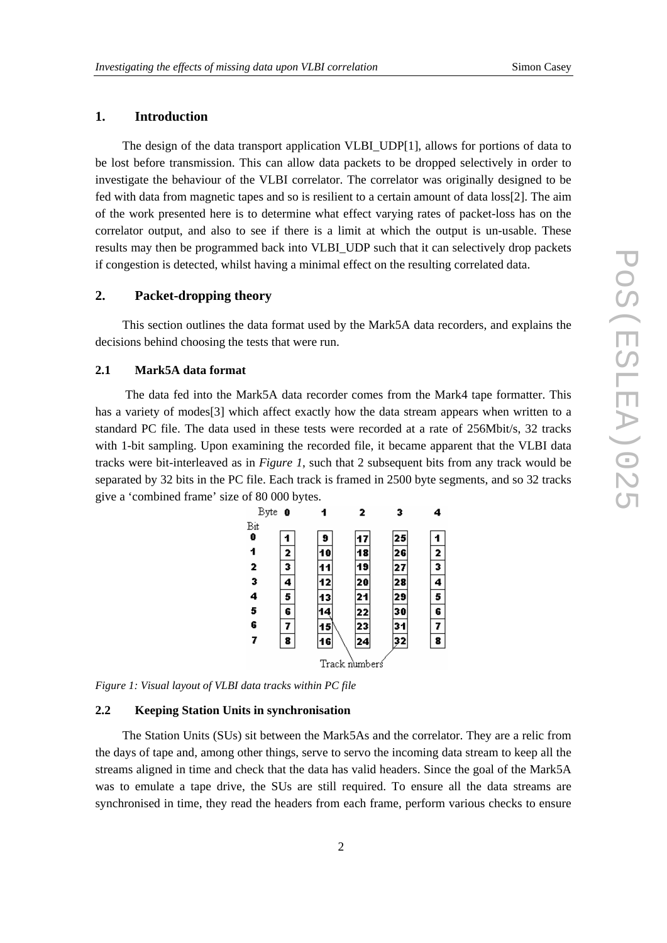## **1. Introduction**

The design of the data transport application VLBI\_UDP[1], allows for portions of data to be lost before transmission. This can allow data packets to be dropped selectively in order to investigate the behaviour of the VLBI correlator. The correlator was originally designed to be fed with data from magnetic tapes and so is resilient to a certain amount of data loss[2]. The aim of the work presented here is to determine what effect varying rates of packet-loss has on the correlator output, and also to see if there is a limit at which the output is un-usable. These results may then be programmed back into VLBI\_UDP such that it can selectively drop packets if congestion is detected, whilst having a minimal effect on the resulting correlated data.

## **2. Packet-dropping theory**

This section outlines the data format used by the Mark5A data recorders, and explains the decisions behind choosing the tests that were run.

#### **2.1 Mark5A data format**

 The data fed into the Mark5A data recorder comes from the Mark4 tape formatter. This has a variety of modes<sup>[3]</sup> which affect exactly how the data stream appears when written to a standard PC file. The data used in these tests were recorded at a rate of 256Mbit/s, 32 tracks with 1-bit sampling. Upon examining the recorded file, it became apparent that the VLBI data tracks were bit-interleaved as in *Figure 1*, such that 2 subsequent bits from any track would be separated by 32 bits in the PC file. Each track is framed in 2500 byte segments, and so 32 tracks give a 'combined frame' size of 80 000 bytes.



*Figure 1: Visual layout of VLBI data tracks within PC file* 

#### **2.2 Keeping Station Units in synchronisation**

The Station Units (SUs) sit between the Mark5As and the correlator. They are a relic from the days of tape and, among other things, serve to servo the incoming data stream to keep all the streams aligned in time and check that the data has valid headers. Since the goal of the Mark5A was to emulate a tape drive, the SUs are still required. To ensure all the data streams are synchronised in time, they read the headers from each frame, perform various checks to ensure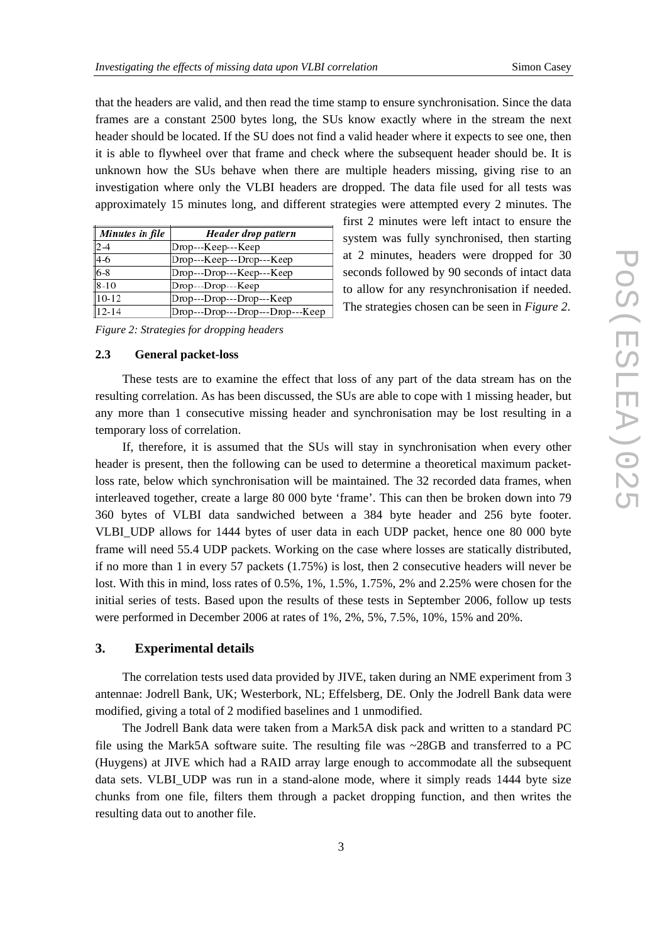first 2 minutes were left intact to ensure the system was fully synchronised, then starting at 2 minutes, headers were dropped for 30 seconds followed by 90 seconds of intact data to allow for any resynchronisation if needed. The strategies chosen can be seen in *Figure 2*.

that the headers are valid, and then read the time stamp to ensure synchronisation. Since the data frames are a constant 2500 bytes long, the SUs know exactly where in the stream the next header should be located. If the SU does not find a valid header where it expects to see one, then it is able to flywheel over that frame and check where the subsequent header should be. It is unknown how the SUs behave when there are multiple headers missing, giving rise to an investigation where only the VLBI headers are dropped. The data file used for all tests was approximately 15 minutes long, and different strategies were attempted every 2 minutes. The

| Minutes in file | Header drop pattern              |
|-----------------|----------------------------------|
| $ 2-4 $         | Drop---Keep---Keep               |
| $4-6$           | Drop---Keep---Drop---Keep        |
| $6 - 8$         | Drop---Drop---Keep---Keep        |
| $8-10$          | Drop---Drop---Keep               |
| $10-12$         | Drop---Drop---Drop---Keep        |
| $12 - 14$       | Dron---Dron---Dron---Dron---Keen |

*Figure 2: Strategies for dropping headers* 

#### **2.3 General packet-loss**

These tests are to examine the effect that loss of any part of the data stream has on the resulting correlation. As has been discussed, the SUs are able to cope with 1 missing header, but any more than 1 consecutive missing header and synchronisation may be lost resulting in a temporary loss of correlation.

If, therefore, it is assumed that the SUs will stay in synchronisation when every other header is present, then the following can be used to determine a theoretical maximum packetloss rate, below which synchronisation will be maintained. The 32 recorded data frames, when interleaved together, create a large 80 000 byte 'frame'. This can then be broken down into 79 360 bytes of VLBI data sandwiched between a 384 byte header and 256 byte footer. VLBI\_UDP allows for 1444 bytes of user data in each UDP packet, hence one 80 000 byte frame will need 55.4 UDP packets. Working on the case where losses are statically distributed, if no more than 1 in every 57 packets (1.75%) is lost, then 2 consecutive headers will never be lost. With this in mind, loss rates of 0.5%, 1%, 1.5%, 1.75%, 2% and 2.25% were chosen for the initial series of tests. Based upon the results of these tests in September 2006, follow up tests were performed in December 2006 at rates of 1%, 2%, 5%, 7.5%, 10%, 15% and 20%.

## **3. Experimental details**

The correlation tests used data provided by JIVE, taken during an NME experiment from 3 antennae: Jodrell Bank, UK; Westerbork, NL; Effelsberg, DE. Only the Jodrell Bank data were modified, giving a total of 2 modified baselines and 1 unmodified.

The Jodrell Bank data were taken from a Mark5A disk pack and written to a standard PC file using the Mark5A software suite. The resulting file was ~28GB and transferred to a PC (Huygens) at JIVE which had a RAID array large enough to accommodate all the subsequent data sets. VLBI UDP was run in a stand-alone mode, where it simply reads 1444 byte size chunks from one file, filters them through a packet dropping function, and then writes the resulting data out to another file.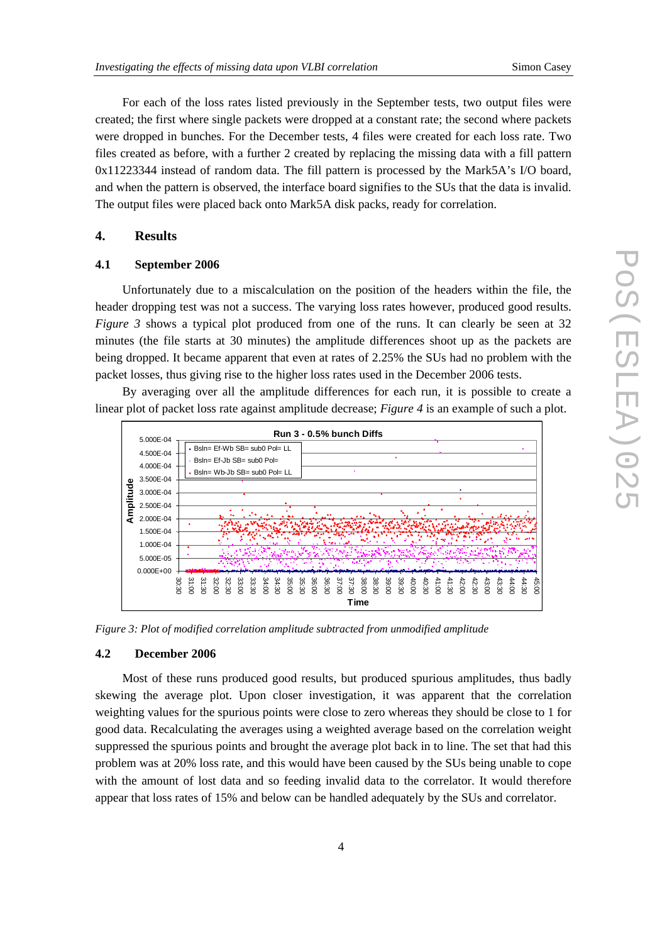For each of the loss rates listed previously in the September tests, two output files were created; the first where single packets were dropped at a constant rate; the second where packets were dropped in bunches. For the December tests, 4 files were created for each loss rate. Two files created as before, with a further 2 created by replacing the missing data with a fill pattern 0x11223344 instead of random data. The fill pattern is processed by the Mark5A's I/O board, and when the pattern is observed, the interface board signifies to the SUs that the data is invalid. The output files were placed back onto Mark5A disk packs, ready for correlation.

## **4. Results**

### **4.1 September 2006**

Unfortunately due to a miscalculation on the position of the headers within the file, the header dropping test was not a success. The varying loss rates however, produced good results. *Figure* 3 shows a typical plot produced from one of the runs. It can clearly be seen at 32 minutes (the file starts at 30 minutes) the amplitude differences shoot up as the packets are being dropped. It became apparent that even at rates of 2.25% the SUs had no problem with the packet losses, thus giving rise to the higher loss rates used in the December 2006 tests.

By averaging over all the amplitude differences for each run, it is possible to create a linear plot of packet loss rate against amplitude decrease; *Figure 4* is an example of such a plot.



*Figure 3: Plot of modified correlation amplitude subtracted from unmodified amplitude* 

#### **4.2 December 2006**

Most of these runs produced good results, but produced spurious amplitudes, thus badly skewing the average plot. Upon closer investigation, it was apparent that the correlation weighting values for the spurious points were close to zero whereas they should be close to 1 for good data. Recalculating the averages using a weighted average based on the correlation weight suppressed the spurious points and brought the average plot back in to line. The set that had this problem was at 20% loss rate, and this would have been caused by the SUs being unable to cope with the amount of lost data and so feeding invalid data to the correlator. It would therefore appear that loss rates of 15% and below can be handled adequately by the SUs and correlator.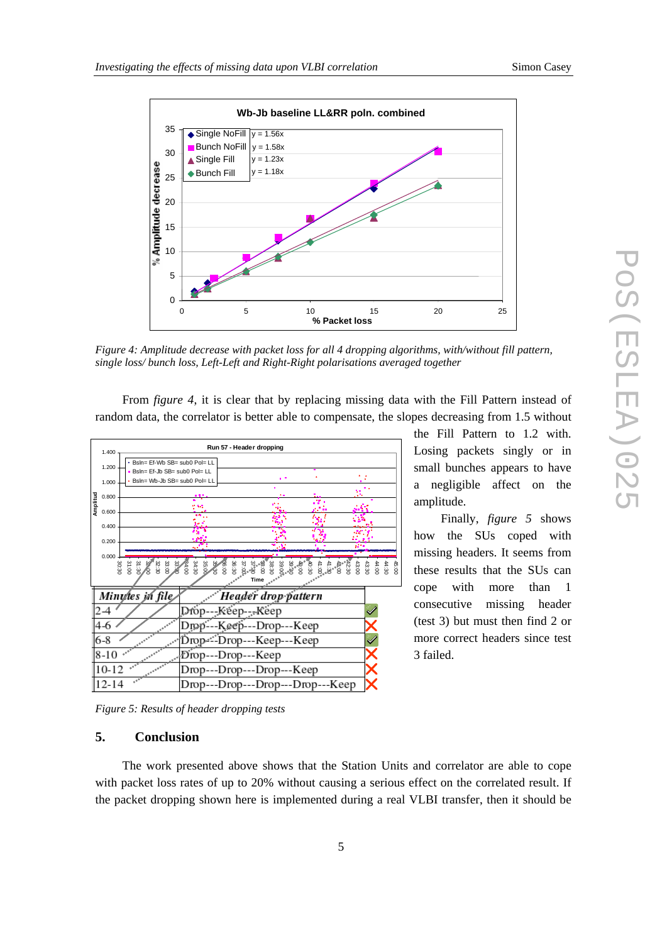



*Figure 4: Amplitude decrease with packet loss for all 4 dropping algorithms, with/without fill pattern, single loss/ bunch loss, Left-Left and Right-Right polarisations averaged together* 

From *figure 4*, it is clear that by replacing missing data with the Fill Pattern instead of random data, the correlator is better able to compensate, the slopes decreasing from 1.5 without



the Fill Pattern to 1.2 with. Losing packets singly or in small bunches appears to have a negligible affect on the amplitude.

Finally, *figure 5* shows how the SUs coped with missing headers. It seems from these results that the SUs can cope with more than 1 consecutive missing header (test 3) but must then find 2 or more correct headers since test 3 failed.

*Figure 5: Results of header dropping tests* 

## **5. Conclusion**

The work presented above shows that the Station Units and correlator are able to cope with packet loss rates of up to 20% without causing a serious effect on the correlated result. If the packet dropping shown here is implemented during a real VLBI transfer, then it should be